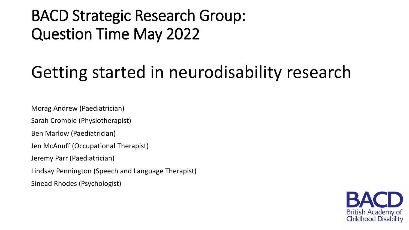#### BACD Strategic Research Group: Question Time May 2022

# Getting started in neurodisability research

Morag Andrew (Paediatrician)

Sarah Crombie (Physiotherapist)

Ben Marlow (Paediatrician)

Jen McAnuff (Occupational Therapist)

Jeremy Parr (Paediatrician)

Lindsay Pennington (Speech and Language Therapist)

Sinead Rhodes (Psychologist)

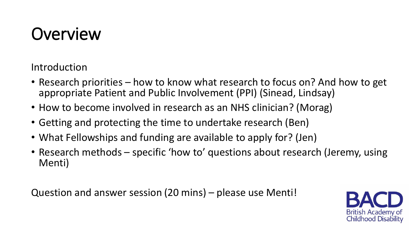# **Overview**

Introduction

- Research priorities how to know what research to focus on? And how to get appropriate Patient and Public Involvement (PPI) (Sinead, Lindsay)
- How to become involved in research as an NHS clinician? (Morag)
- Getting and protecting the time to undertake research (Ben)
- What Fellowships and funding are available to apply for? (Jen)
- Research methods specific 'how to' questions about research (Jeremy, using Menti)

Question and answer session (20 mins) – please use Menti!

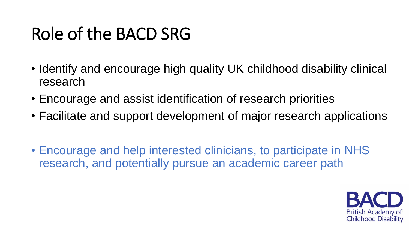# Role of the BACD SRG

- Identify and encourage high quality UK childhood disability clinical research
- Encourage and assist identification of research priorities
- Facilitate and support development of major research applications
- Encourage and help interested clinicians, to participate in NHS research, and potentially pursue an academic career path

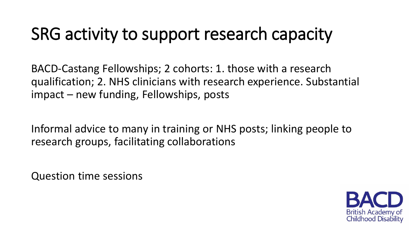## SRG activity to support research capacity

BACD-Castang Fellowships; 2 cohorts: 1. those with a research qualification; 2. NHS clinicians with research experience. Substantial impact – new funding, Fellowships, posts

Informal advice to many in training or NHS posts; linking people to research groups, facilitating collaborations

Question time sessions

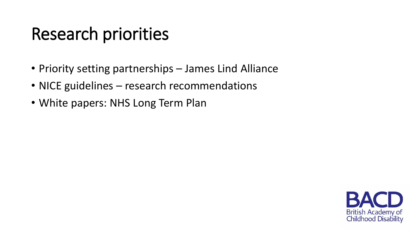## Research priorities

- Priority setting partnerships James Lind Alliance
- NICE guidelines research recommendations
- White papers: NHS Long Term Plan

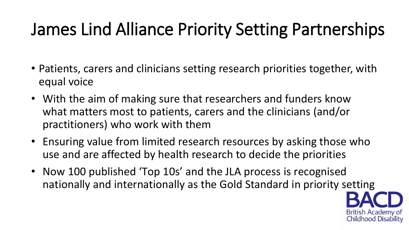# James Lind Alliance Priority Setting Partnerships

- Patients, carers and clinicians setting research priorities together, with equal voice
- With the aim of making sure that researchers and funders know what matters most to patients, carers and the clinicians (and/or practitioners) who work with them
- Ensuring value from limited research resources by asking those who use and are affected by health research to decide the priorities
- Now 100 published 'Top 10s' and the JLA process is recognised nationally and internationally as the Gold Standard in priority setting

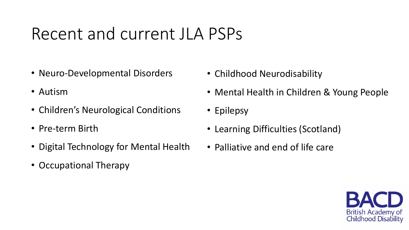### Recent and current JLA PSPs

- Neuro-Developmental Disorders
- Autism
- Children's Neurological Conditions
- Pre-term Birth
- Digital Technology for Mental Health
- Occupational Therapy
- Childhood Neurodisability
- Mental Health in Children & Young People
- Epilepsy
- Learning Difficulties (Scotland)
- Palliative and end of life care

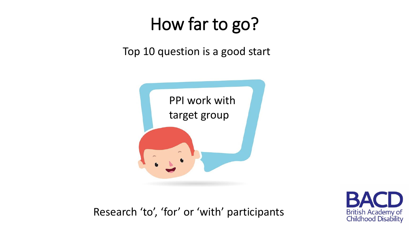## How far to go?

Top 10 question is a good start





Research 'to', 'for' or 'with' participants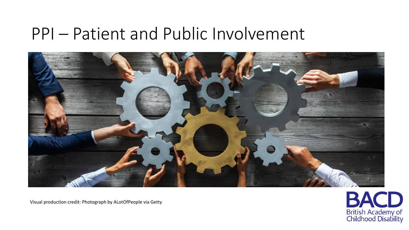#### PPI – Patient and Public Involvement





Visual production credit: Photograph by ALotOfPeople via Getty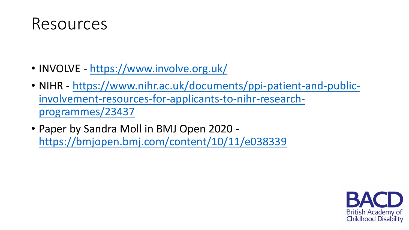

- INVOLVE [https://www.involve.org.uk/](https://www.nihr.ac.uk/documents/ppi-patient-and-public-involvement-resources-for-applicants-to-nihr-research-programmes/23437)
- NIHR [https://www.nihr.ac.uk/documents/ppi-patient-and-public](https://www.nihr.ac.uk/documents/ppi-patient-and-public-involvement-resources-for-applicants-to-nihr-research-programmes/23437)involvement-resources-for-applicants-to-nihr-researchprogrammes/23437
- Paper by Sandra Moll in BMJ Open 2020 <https://bmjopen.bmj.com/content/10/11/e038339>

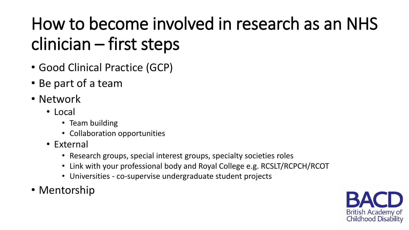# How to become involved in research as an NHS clinician – first steps

- Good Clinical Practice (GCP)
- Be part of a team
- Network
	- Local
		- Team building
		- Collaboration opportunities
	- External
		- Research groups, special interest groups, specialty societies roles
		- Link with your professional body and Royal College e.g. RCSLT/RCPCH/RCOT
		- Universities co-supervise undergraduate student projects
- Mentorship

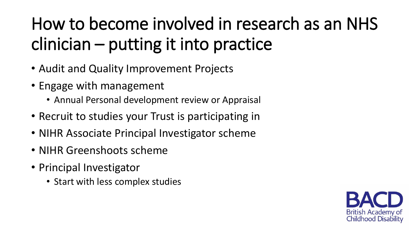# How to become involved in research as an NHS clinician – putting it into practice

- Audit and Quality Improvement Projects
- Engage with management
	- Annual Personal development review or Appraisal
- Recruit to studies your Trust is participating in
- NIHR Associate Principal Investigator scheme
- NIHR Greenshoots scheme
- Principal Investigator
	- Start with less complex studies

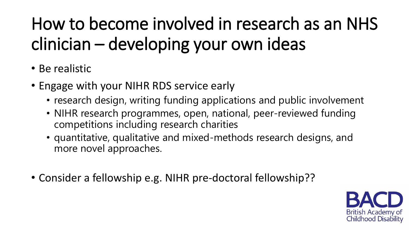# How to become involved in research as an NHS clinician – developing your own ideas

- Be realistic
- Engage with your NIHR RDS service early
	- research design, writing funding applications and public involvement
	- NIHR research programmes, open, national, peer-reviewed funding competitions including research charities
	- quantitative, qualitative and mixed-methods research designs, and more novel approaches.
- Consider a fellowship e.g. NIHR pre-doctoral fellowship??

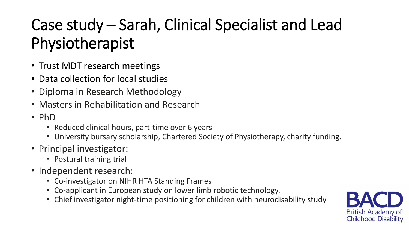## Case study – Sarah, Clinical Specialist and Lead Physiotherapist

- Trust MDT research meetings
- Data collection for local studies
- Diploma in Research Methodology
- Masters in Rehabilitation and Research
- PhD
	- Reduced clinical hours, part-time over 6 years
	- University bursary scholarship, Chartered Society of Physiotherapy, charity funding.
- Principal investigator:
	- Postural training trial
- Independent research:
	- Co-investigator on NIHR HTA Standing Frames
	- Co-applicant in European study on lower limb robotic technology.
	- Chief investigator night-time positioning for children with neurodisability study

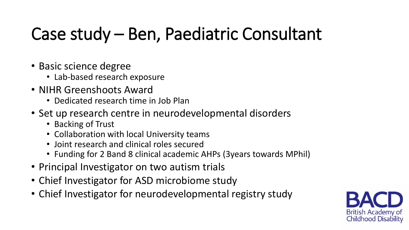# Case study – Ben, Paediatric Consultant

- Basic science degree
	- Lab-based research exposure
- NIHR Greenshoots Award
	- Dedicated research time in Job Plan
- Set up research centre in neurodevelopmental disorders
	- Backing of Trust
	- Collaboration with local University teams
	- Joint research and clinical roles secured
	- Funding for 2 Band 8 clinical academic AHPs (3years towards MPhil)
- Principal Investigator on two autism trials
- Chief Investigator for ASD microbiome study
- Chief Investigator for neurodevelopmental registry study

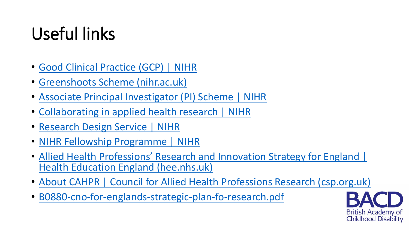# Useful links

- [Good Clinical Practice \(GCP\) | NIHR](https://www.nihr.ac.uk/health-and-care-professionals/learning-and-support/good-clinical-practice.htm)
- [Greenshoots Scheme \(nihr.ac.uk\)](https://local.nihr.ac.uk/documents/greenshoots-scheme/28594)
- [Associate Principal Investigator \(PI\) Scheme | NIHR](https://www.nihr.ac.uk/health-and-care-professionals/career-development/associate-principal-investigator-scheme.htm)
- [Collaborating in applied health research | NIHR](https://www.nihr.ac.uk/explore-nihr/support/collaborating-in-applied-health-research.htm)
- [Research Design Service | NIHR](https://www.nihr.ac.uk/explore-nihr/support/research-design-service.htm)
- [NIHR Fellowship Programme | NIHR](https://www.nihr.ac.uk/explore-nihr/academy-programmes/fellowship-programme.htm)
- Allied Health Professions' Research and Innovation Strategy for England | Health Education England (hee.nhs.uk)
- [About CAHPR | Council for Allied Health Professions Research \(csp.org.uk\)](https://cahpr.csp.org.uk/about-cahpr)
- [B0880-cno-for-englands-strategic-plan-fo-research.pdf](https://www.england.nhs.uk/wp-content/uploads/2021/11/B0880-cno-for-englands-strategic-plan-fo-research.pdf)

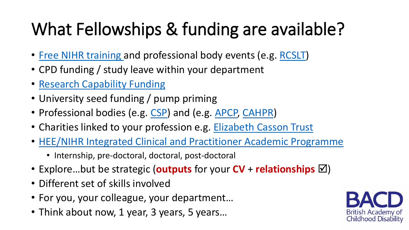# What Fellowships & funding are available?

- [Free NIHR training](https://www.nihr.ac.uk/health-and-care-professionals/learning-and-support/) and professional body events (e.g. [RCSLT](https://www.rcslt.org/events/research-champions-workshop/#section-0))
- CPD funding / study leave within your department
- [Research Capability Funding](https://www.nihr.ac.uk/researchers/collaborations-services-and-support-for-your-research/research-capability-funding.htm)
- University seed funding / pump priming
- Professional bodies (e.g. [CSP\)](https://www.csp.org.uk/professional-clinical/research-evaluation/research-funding) and (e.g. [APCP,](https://apcp.csp.org.uk/content/research-funding-1) [CAHPR](https://cahpr.csp.org.uk/content/funding-sources))
- Charities linked to your profession e.g. [Elizabeth Casson Trust](https://elizabethcasson.org.uk/support-development/funding/)
- [HEE/NIHR Integrated Clinical and Practitioner Academic Programme](https://www.nihr.ac.uk/explore-nihr/academy-programmes/hee-nihr-integrated-clinical-and-practitioner-academic-programme.htm)
	- Internship, pre-doctoral, doctoral, post-doctoral
- Explore...but be strategic (**outputs** for your  $CV$  + **relationships**  $\boxtimes$ )
- Different set of skills involved
- For you, your colleague, your department…
- Think about now, 1 year, 3 years, 5 years...

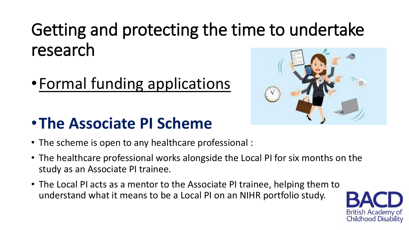•Formal funding applications

#### •**The Associate PI Scheme**

- The scheme is open to any healthcare professional :
- The healthcare professional works alongside the Local PI for six months on the study as an Associate PI trainee.
- The Local PI acts as a mentor to the Associate PI trainee, helping them to understand what it means to be a Local PI on an NIHR portfolio study.



British Academy of Childhood Disability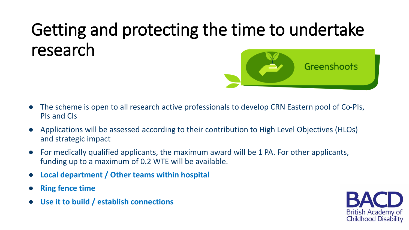- The scheme is open to all research active professionals to develop CRN Eastern pool of Co-PIs, PIs and CIs
- Applications will be assessed according to their contribution to High Level Objectives (HLOs) and strategic impact
- For medically qualified applicants, the maximum award will be 1 PA. For other applicants, funding up to a maximum of 0.2 WTE will be available.
- **Local department / Other teams within hospital**
- **Ring fence time**
- **Use it to build / establish connections**



Greenshoots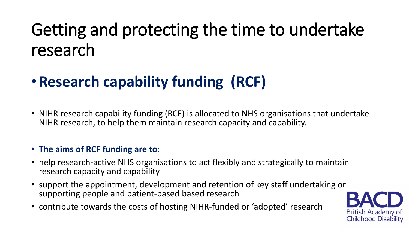### •**Research capability funding (RCF)**

• NIHR research capability funding (RCF) is allocated to NHS organisations that undertake NIHR research, to help them maintain research capacity and capability.

#### • **The aims of RCF funding are to:**

- help research-active NHS organisations to act flexibly and strategically to maintain research capacity and capability
- support the appointment, development and retention of key staff undertaking or supporting people and patient-based based research
- contribute towards the costs of hosting NIHR-funded or 'adopted' research

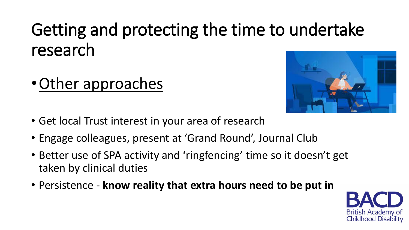•Other approaches



- Get local Trust interest in your area of research
- Engage colleagues, present at 'Grand Round', Journal Club
- Better use of SPA activity and 'ringfencing' time so it doesn't get taken by clinical duties
- Persistence **know reality that extra hours need to be put in**